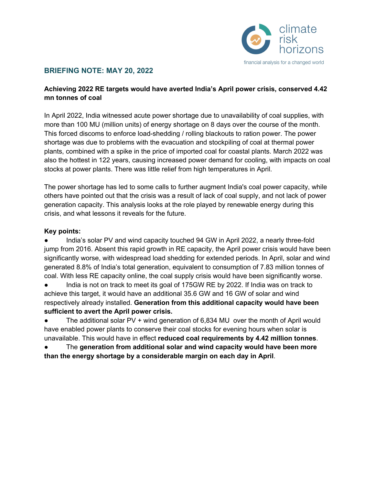

#### **BRIEFING NOTE: MAY 20, 2022**

#### **Achieving 2022 RE targets would have averted India's April power crisis, conserved 4.42 mn tonnes of coal**

In April 2022, India witnessed acute power shortage due to unavailability of coal supplies, with more than 100 MU (million units) of energy shortage on 8 days over the course of the month. This forced discoms to enforce load-shedding / rolling blackouts to ration power. The power shortage was due to problems with the evacuation and stockpiling of coal at thermal power plants, combined with a spike in the price of imported coal for coastal plants. March 2022 was also the hottest in 122 years, causing increased power demand for cooling, with impacts on coal stocks at power plants. There was little relief from high temperatures in April.

The power shortage has led to some calls to further augment India's coal power capacity, while others have pointed out that the crisis was a result of lack of coal supply, and not lack of power generation capacity. This analysis looks at the role played by renewable energy during this crisis, and what lessons it reveals for the future.

#### **Key points:**

India's solar PV and wind capacity touched 94 GW in April 2022, a nearly three-fold jump from 2016. Absent this rapid growth in RE capacity, the April power crisis would have been significantly worse, with widespread load shedding for extended periods. In April, solar and wind generated 8.8% of India's total generation, equivalent to consumption of 7.83 million tonnes of coal. With less RE capacity online, the coal supply crisis would have been significantly worse.

• India is not on track to meet its goal of 175GW RE by 2022. If India was on track to achieve this target, it would have an additional 35.6 GW and 16 GW of solar and wind respectively already installed. **Generation from this additional capacity would have been sufficient to avert the April power crisis.**

• The additional solar PV + wind generation of 6,834 MU over the month of April would have enabled power plants to conserve their coal stocks for evening hours when solar is unavailable. This would have in effect **reduced coal requirements by 4.42 million tonnes**.

The generation from additional solar and wind capacity would have been more **than the energy shortage by a considerable margin on each day in April**.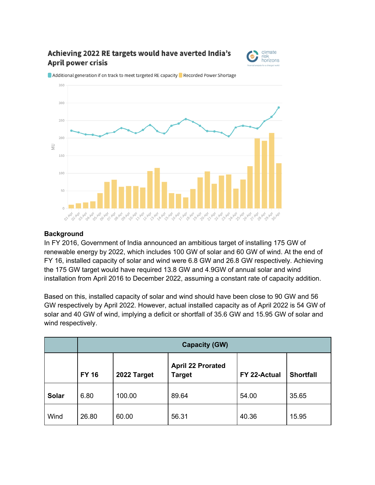# Achieving 2022 RE targets would have averted India's **April power crisis**





Additional generation if on track to meet targeted RE capacity Recorded Power Shortage

#### **Background**

In FY 2016, Government of India announced an ambitious target of installing 175 GW of renewable energy by 2022, which includes 100 GW of solar and 60 GW of wind. At the end of FY 16, installed capacity of solar and wind were 6.8 GW and 26.8 GW respectively. Achieving the 175 GW target would have required 13.8 GW and 4.9GW of annual solar and wind installation from April 2016 to December 2022, assuming a constant rate of capacity addition.

Based on this, installed capacity of solar and wind should have been close to 90 GW and 56 GW respectively by April 2022. However, actual installed capacity as of April 2022 is 54 GW of solar and 40 GW of wind, implying a deficit or shortfall of 35.6 GW and 15.95 GW of solar and wind respectively.

|              | <b>Capacity (GW)</b> |             |                                           |              |                  |  |  |
|--------------|----------------------|-------------|-------------------------------------------|--------------|------------------|--|--|
|              | <b>FY 16</b>         | 2022 Target | <b>April 22 Prorated</b><br><b>Target</b> | FY 22-Actual | <b>Shortfall</b> |  |  |
| <b>Solar</b> | 6.80                 | 100.00      | 89.64                                     | 54.00        | 35.65            |  |  |
| Wind         | 26.80                | 60.00       | 56.31                                     | 40.36        | 15.95            |  |  |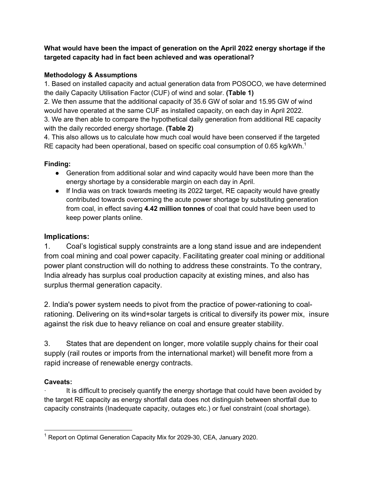### **What would have been the impact of generation on the April 2022 energy shortage if the targeted capacity had in fact been achieved and was operational?**

## **Methodology & Assumptions**

1. Based on installed capacity and actual generation data from POSOCO, we have determined the daily Capacity Utilisation Factor (CUF) of wind and solar. **(Table 1)**

2. We then assume that the additional capacity of 35.6 GW of solar and 15.95 GW of wind would have operated at the same CUF as installed capacity, on each day in April 2022. 3. We are then able to compare the hypothetical daily generation from additional RE capacity with the daily recorded energy shortage. **(Table 2)**

4. This also allows us to calculate how much coal would have been conserved if the targeted RE capacity had been operational, based on specific coal consumption of 0.65 kg/kWh.<sup>1</sup>

# **Finding:**

- Generation from additional solar and wind capacity would have been more than the energy shortage by a considerable margin on each day in April.
- If India was on track towards meeting its 2022 target, RE capacity would have greatly contributed towards overcoming the acute power shortage by substituting generation from coal, in effect saving **4.42 million tonnes** of coal that could have been used to keep power plants online.

# **Implications:**

1. Coal's logistical supply constraints are a long stand issue and are independent from coal mining and coal power capacity. Facilitating greater coal mining or additional power plant construction will do nothing to address these constraints. To the contrary, India already has surplus coal production capacity at existing mines, and also has surplus thermal generation capacity.

2. India's power system needs to pivot from the practice of power-rationing to coalrationing. Delivering on its wind+solar targets is critical to diversify its power mix, insure against the risk due to heavy reliance on coal and ensure greater stability.

3. States that are dependent on longer, more volatile supply chains for their coal supply (rail routes or imports from the international market) will benefit more from a rapid increase of renewable energy contracts.

# **Caveats:**

It is difficult to precisely quantify the energy shortage that could have been avoided by the target RE capacity as energy shortfall data does not distinguish between shortfall due to capacity constraints (Inadequate capacity, outages etc.) or fuel constraint (coal shortage).

<sup>&</sup>lt;sup>1</sup> Report on Optimal Generation Capacity Mix for 2029-30, CEA, January 2020.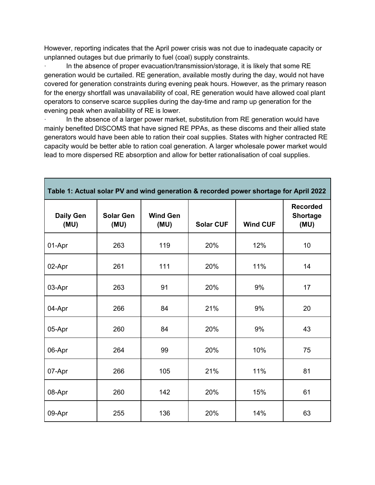However, reporting indicates that the April power crisis was not due to inadequate capacity or unplanned outages but due primarily to fuel (coal) supply constraints.

In the absence of proper evacuation/transmission/storage, it is likely that some RE generation would be curtailed. RE generation, available mostly during the day, would not have covered for generation constraints during evening peak hours. However, as the primary reason for the energy shortfall was unavailability of coal, RE generation would have allowed coal plant operators to conserve scarce supplies during the day-time and ramp up generation for the evening peak when availability of RE is lower.

In the absence of a larger power market, substitution from RE generation would have mainly benefited DISCOMS that have signed RE PPAs, as these discoms and their allied state generators would have been able to ration their coal supplies. States with higher contracted RE capacity would be better able to ration coal generation. A larger wholesale power market would lead to more dispersed RE absorption and allow for better rationalisation of coal supplies.

| Table 1: Actual solar PV and wind generation & recorded power shortage for April 2022 |                          |                         |                  |                 |                                            |  |  |  |
|---------------------------------------------------------------------------------------|--------------------------|-------------------------|------------------|-----------------|--------------------------------------------|--|--|--|
| <b>Daily Gen</b><br>(MU)                                                              | <b>Solar Gen</b><br>(MU) | <b>Wind Gen</b><br>(MU) | <b>Solar CUF</b> | <b>Wind CUF</b> | <b>Recorded</b><br><b>Shortage</b><br>(MU) |  |  |  |
| 01-Apr                                                                                | 263                      | 119                     | 20%              | 12%             | 10                                         |  |  |  |
| 02-Apr                                                                                | 261                      | 111                     | 20%              | 11%             | 14                                         |  |  |  |
| 03-Apr                                                                                | 263                      | 91                      | 20%              | 9%              | 17                                         |  |  |  |
| 04-Apr                                                                                | 266                      | 84                      | 21%              | 9%              | 20                                         |  |  |  |
| 05-Apr                                                                                | 260                      | 84                      | 20%              | 9%              | 43                                         |  |  |  |
| 06-Apr                                                                                | 264                      | 99                      | 20%              | 10%             | 75                                         |  |  |  |
| 07-Apr                                                                                | 266                      | 105                     | 21%              | 11%             | 81                                         |  |  |  |
| 08-Apr                                                                                | 260                      | 142                     | 20%              | 15%             | 61                                         |  |  |  |
| 09-Apr                                                                                | 255                      | 136                     | 20%              | 14%             | 63                                         |  |  |  |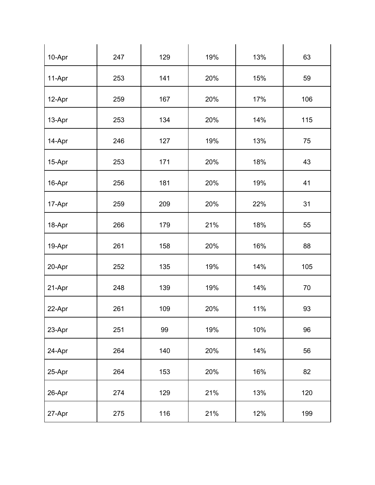| 10-Apr | 247 | 129 | 19% | 13% | 63  |
|--------|-----|-----|-----|-----|-----|
| 11-Apr | 253 | 141 | 20% | 15% | 59  |
| 12-Apr | 259 | 167 | 20% | 17% | 106 |
| 13-Apr | 253 | 134 | 20% | 14% | 115 |
| 14-Apr | 246 | 127 | 19% | 13% | 75  |
| 15-Apr | 253 | 171 | 20% | 18% | 43  |
| 16-Apr | 256 | 181 | 20% | 19% | 41  |
| 17-Apr | 259 | 209 | 20% | 22% | 31  |
| 18-Apr | 266 | 179 | 21% | 18% | 55  |
| 19-Apr | 261 | 158 | 20% | 16% | 88  |
| 20-Apr | 252 | 135 | 19% | 14% | 105 |
| 21-Apr | 248 | 139 | 19% | 14% | 70  |
| 22-Apr | 261 | 109 | 20% | 11% | 93  |
| 23-Apr | 251 | 99  | 19% | 10% | 96  |
| 24-Apr | 264 | 140 | 20% | 14% | 56  |
| 25-Apr | 264 | 153 | 20% | 16% | 82  |
| 26-Apr | 274 | 129 | 21% | 13% | 120 |
| 27-Apr | 275 | 116 | 21% | 12% | 199 |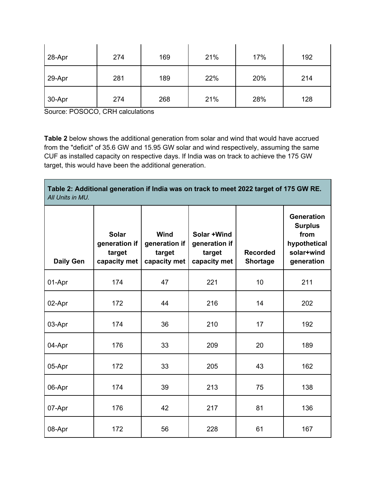| 28-Apr | 274 | 169 | 21% | 17% | 192 |
|--------|-----|-----|-----|-----|-----|
| 29-Apr | 281 | 189 | 22% | 20% | 214 |
| 30-Apr | 274 | 268 | 21% | 28% | 128 |

Source: POSOCO, CRH calculations

**Table 2** below shows the additional generation from solar and wind that would have accrued from the "deficit" of 35.6 GW and 15.95 GW solar and wind respectively, assuming the same CUF as installed capacity on respective days. If India was on track to achieve the 175 GW target, this would have been the additional generation.

**Table 2: Additional generation if India was on track to meet 2022 target of 175 GW RE.**  *All Units in MU.*

| <b>Daily Gen</b> | <b>Solar</b><br>generation if<br>target<br>capacity met | Wind<br>generation if<br>target<br>capacity met | Solar +Wind<br>generation if<br>target<br>capacity met | <b>Recorded</b><br><b>Shortage</b> | <b>Generation</b><br><b>Surplus</b><br>from<br>hypothetical<br>solar+wind<br>generation |
|------------------|---------------------------------------------------------|-------------------------------------------------|--------------------------------------------------------|------------------------------------|-----------------------------------------------------------------------------------------|
| 01-Apr           | 174                                                     | 47                                              | 221                                                    | 10                                 | 211                                                                                     |
| 02-Apr           | 172                                                     | 44                                              | 216                                                    | 14                                 | 202                                                                                     |
| 03-Apr           | 174                                                     | 36                                              | 210                                                    | 17                                 | 192                                                                                     |
| 04-Apr           | 176                                                     | 33                                              | 209                                                    | 20                                 | 189                                                                                     |
| 05-Apr           | 172                                                     | 33                                              | 205                                                    | 43                                 | 162                                                                                     |
| 06-Apr           | 174                                                     | 39                                              | 213                                                    | 75                                 | 138                                                                                     |
| 07-Apr           | 176                                                     | 42                                              | 217                                                    | 81                                 | 136                                                                                     |
| 08-Apr           | 172                                                     | 56                                              | 228                                                    | 61                                 | 167                                                                                     |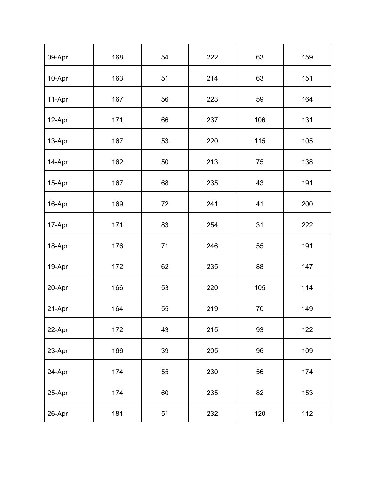| 09-Apr   | 168 | 54     | 222 | 63     | 159 |
|----------|-----|--------|-----|--------|-----|
| 10-Apr   | 163 | 51     | 214 | 63     | 151 |
| 11-Apr   | 167 | 56     | 223 | 59     | 164 |
| 12-Apr   | 171 | 66     | 237 | 106    | 131 |
| 13-Apr   | 167 | 53     | 220 | 115    | 105 |
| 14-Apr   | 162 | 50     | 213 | 75     | 138 |
| 15-Apr   | 167 | 68     | 235 | 43     | 191 |
| 16-Apr   | 169 | $72\,$ | 241 | 41     | 200 |
| 17-Apr   | 171 | 83     | 254 | 31     | 222 |
| 18-Apr   | 176 | 71     | 246 | 55     | 191 |
| 19-Apr   | 172 | 62     | 235 | 88     | 147 |
| 20-Apr   | 166 | 53     | 220 | 105    | 114 |
| $21-Apr$ | 164 | 55     | 219 | $70\,$ | 149 |
| 22-Apr   | 172 | 43     | 215 | 93     | 122 |
| 23-Apr   | 166 | 39     | 205 | $96\,$ | 109 |
| 24-Apr   | 174 | 55     | 230 | 56     | 174 |
| 25-Apr   | 174 | 60     | 235 | 82     | 153 |
| 26-Apr   | 181 | 51     | 232 | 120    | 112 |
|          |     |        |     |        |     |